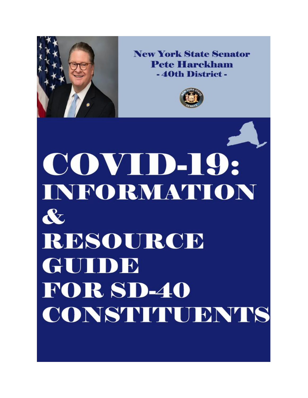

**New York State Senator Pete Harckham** -40th District -



COVID-19: INFORMATION  $\mathbf{\alpha}$ RESOURCE GUIDE **FOR SD-40** CONSTITUENTS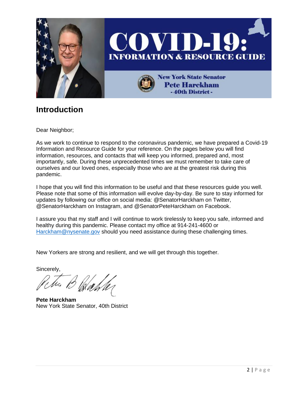

### **Introduction**

Dear Neighbor;

As we work to continue to respond to the coronavirus pandemic, we have prepared a Covid-19 Information and Resource Guide for your reference. On the pages below you will find information, resources, and contacts that will keep you informed, prepared and, most importantly, safe. During these unprecedented times we must remember to take care of ourselves and our loved ones, especially those who are at the greatest risk during this pandemic.

I hope that you will find this information to be useful and that these resources guide you well. Please note that some of this information will evolve day-by-day. Be sure to stay informed for updates by following our office on social media: @SenatorHarckham on Twitter, @SenatorHarckham on Instagram, and @SenatorPeteHarckham on Facebook.

I assure you that my staff and I will continue to work tirelessly to keep you safe, informed and healthy during this pandemic. Please contact my office at 914-241-4600 or [Harckham@nysenate.gov](mailto:Harckham@nysenate.gov) should you need assistance during these challenging times.

New Yorkers are strong and resilient, and we will get through this together.

Sincerely,

**Pete Harckham** New York State Senator, 40th District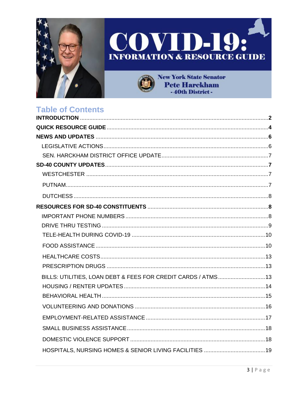





**New York State Senator Pete Harckham** -40th District -

### **Table of Contents**

| BILLS: UTILITIES, LOAN DEBT & FEES FOR CREDIT CARDS / ATMS 13 |  |
|---------------------------------------------------------------|--|
|                                                               |  |
|                                                               |  |
|                                                               |  |
|                                                               |  |
|                                                               |  |
|                                                               |  |
|                                                               |  |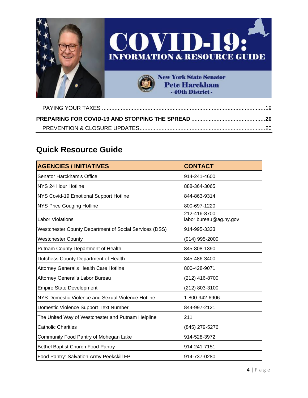

### **Quick Resource Guide**

| <b>AGENCIES / INITIATIVES</b>                          | <b>CONTACT</b>                         |
|--------------------------------------------------------|----------------------------------------|
| Senator Harckham's Office                              | 914-241-4600                           |
| NYS 24 Hour Hotline                                    | 888-364-3065                           |
| NYS Covid-19 Emotional Support Hotline                 | 844-863-9314                           |
| <b>NYS Price Gouging Hotline</b>                       | 800-697-1220                           |
| <b>Labor Violations</b>                                | 212-416-8700<br>labor.bureau@ag.ny.gov |
| Westchester County Department of Social Services (DSS) | 914-995-3333                           |
| <b>Westchester County</b>                              | (914) 995-2000                         |
| Putnam County Department of Health                     | 845-808-1390                           |
| Dutchess County Department of Health                   | 845-486-3400                           |
| Attorney General's Health Care Hotline                 | 800-428-9071                           |
| Attorney General's Labor Bureau                        | (212) 416-8700                         |
| <b>Empire State Development</b>                        | (212) 803-3100                         |
| NYS Domestic Violence and Sexual Violence Hotline      | 1-800-942-6906                         |
| Domestic Violence Support Text Number                  | 844-997-2121                           |
| The United Way of Westchester and Putnam Helpline      | 211                                    |
| <b>Catholic Charities</b>                              | (845) 279-5276                         |
| Community Food Pantry of Mohegan Lake                  | 914-528-3972                           |
| <b>Bethel Baptist Church Food Pantry</b>               | 914-241-7151                           |
| Food Pantry: Salvation Army Peekskill FP               | 914-737-0280                           |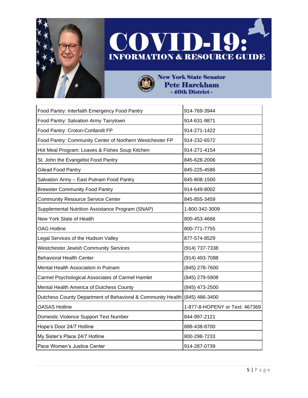

 $\ddot{r}$ 



**New York State Senator Pete Harckham** -40th District -

| Food Pantry: Interfaith Emergency Food Pantry               | 914-769-3944                   |
|-------------------------------------------------------------|--------------------------------|
| Food Pantry: Salvation Army Tarrytown                       | 914-631-9871                   |
| Food Pantry: Croton-Cortlandt FP                            | 914-271-1422                   |
| Food Pantry: Community Center of Northern Westchester FP    | 914-232-6572                   |
| Hot Meal Program: Loaves & Fishes Soup Kitchen              | 914-271-4154                   |
| St. John the Evangelist Food Pantry                         | 845-628-2006                   |
| <b>Gilead Food Pantry</b>                                   | 845-225-4586                   |
| Salvation Army - East Putnam Food Pantry                    | 845-808-1500                   |
| <b>Brewster Community Food Pantry</b>                       | 914-649-8002                   |
| <b>Community Resource Service Center</b>                    | 845-855-3459                   |
| Supplemental Nutrition Assistance Program (SNAP)            | 1-800-342-3009                 |
| New York State of Health                                    | 800-453-4666                   |
| <b>OAG Hotline</b>                                          | 800-771-7755                   |
| Legal Services of the Hudson Valley                         | 877-574-8529                   |
| <b>Westchester Jewish Community Services</b>                | (914) 737-7338                 |
| <b>Behavioral Health Center</b>                             | (914) 493-7088                 |
| Mental Health Association in Putnam                         | (845) 278-7600                 |
| Carmel Psychological Associates of Carmel Hamlet            | (845) 279-5908                 |
| Mental Health America of Dutchess County                    | (845) 473-2500                 |
| Dutchess County Department of Behavioral & Community Health | (845) 486-3400                 |
| <b>OASAS Hotline</b>                                        | 1-877-8-HOPENY or Text: 467369 |
| Domestic Violence Support Text Number                       | 844-997-2121                   |
| Hope's Door 24/7 Hotline                                    | 888-438-8700                   |
| My Sister's Place 24/7 Hotline                              | 800-298-7233                   |
| Pace Women's Justice Center                                 | 914-287-0739                   |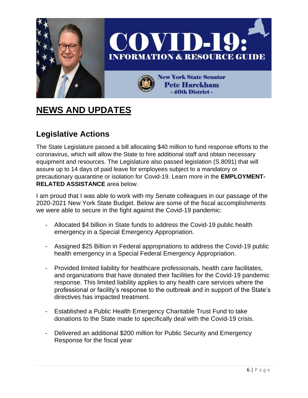

# **NEWS AND UPDATES**

### **Legislative Actions**

The State Legislature passed a bill allocating \$40 million to fund response efforts to the coronavirus, which will allow the State to hire additional staff and obtain necessary equipment and resources. The Legislature also passed legislation (S.8091) that will assure up to 14 days of paid leave for employees subject to a mandatory or precautionary quarantine or isolation for Covid-19. Learn more in the **EMPLOYMENT-RELATED ASSISTANCE** area below.

I am proud that I was able to work with my Senate colleagues in our passage of the 2020-2021 New York State Budget. Below are some of the fiscal accomplishments we were able to secure in the fight against the Covid-19 pandemic:

- Allocated \$4 billion in State funds to address the Covid-19 public health emergency in a Special Emergency Appropriation.
- Assigned \$25 Billion in Federal appropriations to address the Covid-19 public health emergency in a Special Federal Emergency Appropriation.
- Provided limited liability for healthcare professionals, health care facilitates, and organizations that have donated their facilities for the Covid-19 pandemic response. This limited liability applies to any health care services where the professional or facility's response to the outbreak and in support of the State's directives has impacted treatment.
- Established a Public Health Emergency Charitable Trust Fund to take donations to the State made to specifically deal with the Covid-19 crisis.
- Delivered an additional \$200 million for Public Security and Emergency Response for the fiscal year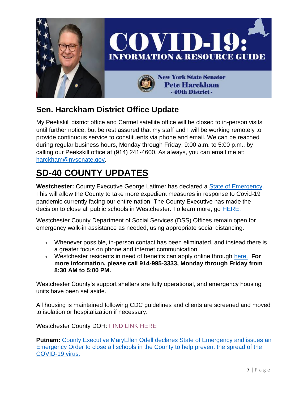

### **Sen. Harckham District Office Update**

My Peekskill district office and Carmel satellite office will be closed to in-person visits until further notice, but be rest assured that my staff and I will be working remotely to provide continuous service to constituents via phone and email. We can be reached during regular business hours, Monday through Friday, 9:00 a.m. to 5:00 p.m., by calling our Peekskill office at (914) 241-4600. As always, you can email me at: [harckham@nysenate.gov.](mailto:harckham@nysenate.gov)

# **SD-40 COUNTY UPDATES**

**Westchester:** County Executive George Latimer has declared a [State of Emergency.](https://www.westchestergov.com/home/all-press-releases/8320-county-executive-george-latimer-declares-state-of-emergency-in-response-to-covid-19-pandemic) This will allow the County to take more expedient measures in response to Covid-19 pandemic currently facing our entire nation. The County Executive has made the decision to close all public schools in Westchester. To learn more, go [HERE.](https://www.westchestergov.com/home/all-press-releases)

Westchester County Department of Social Services (DSS) Offices remain open for emergency walk-in assistance as needed, using appropriate social distancing.

- Whenever possible, in-person contact has been eliminated, and instead there is a greater focus on phone and internet communication
- Westchester residents in need of benefits can apply online through [here.](http://email.sts.nysenate.gov/ls/click?upn=SJvygB40Mc3HlAh3GuAwGBcUry1Z70CKiR9nWcH8khZX58jE2OQY1s1R2KMzV2thu21jYF2M-2FNcl2yFLZ4XWRA-3D-3DNd9o_n5PPAAqYDuqHEKlkPbetHjpgyrcifxH4xcj5fkTEsj4Gv1oghrjGYxmWCNGjGN209uYjbObdccUPbgUs8eSA3H3mVGiRlt8pVZsgv3gUWY6bbKQrg2xc5LfZXFQYpjdXAD86ND7xuz31g-2BgYLCaBM2fSLnCXTIFAOKgCvQ2PQ5Isg1WhhR7cND7ABbN7dlS5GYHyK5dGpcX6arEQj-2FkV9329T7pw1eGZ-2BykowngsTgntsCmvW4Q0LrtH2x7oZfMbUuBjNfT3NR81WRxt648Wyp042IbnkySUliSgQKhvekixMYxiYU8LCGAnykIHY8868Tlx-2Ba3sYxjXm7lF1YNWnnDmQ89o1Ya8KlBEEQprWSuRAL3HCyGd5EMF2PyJsUdI-2F5z99-2FnBOAuuhv0b8vY06-2FKgJqvNUbNNP7m7aAI8glD6lrNjE-2B-2Bjxp6sEXe3r8OIpV7lVNt3OpKLOoF3wBwFnx1QoyTa2azYPbPLMjh4yJPQqprVlIhuhX3I0lKnxR3BXugM9kp7HfSzr4i56-2BI3DFi3D82jlz-2BcLBEPOcj8MzA-3D) **For more information, please call 914-995-3333, Monday through Friday from 8:30 AM to 5:00 PM.**

Westchester County's support shelters are fully operational, and emergency housing units have been set aside.

All housing is maintained following CDC guidelines and clients are screened and moved to isolation or hospitalization if necessary.

Westchester County DOH: [FIND LINK HERE](https://health.westchestergov.com/)

**Putnam:** County Executive MaryEllen Odell declares State of [Emergency](http://www.putnamcountyny.com/putnam-county-executive-maryellen-odell-declares-state-of-emergency-and-issues-a-emergency-order-to-close-all-schools-in-the-county-to-help-prevent-the-spread-of-the-covid-19-virus/) and issues an [Emergency](http://www.putnamcountyny.com/putnam-county-executive-maryellen-odell-declares-state-of-emergency-and-issues-a-emergency-order-to-close-all-schools-in-the-county-to-help-prevent-the-spread-of-the-covid-19-virus/) Order to close all schools in the County to help prevent the spread of the [COVID-19](http://www.putnamcountyny.com/putnam-county-executive-maryellen-odell-declares-state-of-emergency-and-issues-a-emergency-order-to-close-all-schools-in-the-county-to-help-prevent-the-spread-of-the-covid-19-virus/) virus.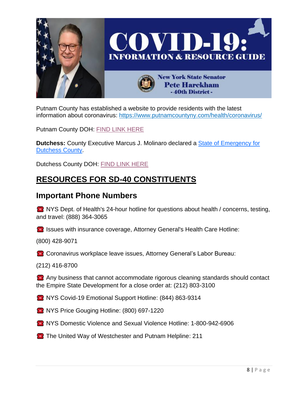

Putnam County has established a website to provide residents with the latest information about coronavirus:<https://www.putnamcountyny.com/health/coronavirus/>

Putnam County DOH: [FIND LINK HERE](https://www.putnamcountyny.com/health/)

**Dutchess:** County Executive Marcus J. Molinaro declared a [State of Emergency for](https://www.dutchessny.gov/Departments/County-Executive/Docs/Declaration-of-State-of-Emergency-03-13-2020-Executive-Order.pdf)  [Dutchess County.](https://www.dutchessny.gov/Departments/County-Executive/Docs/Declaration-of-State-of-Emergency-03-13-2020-Executive-Order.pdf)

Dutchess County DOH: [FIND LINK HERE](https://www.dutchessny.gov/departments/DBCH/dbch.htm)

### **RESOURCES FOR SD-40 CONSTITUENTS**

#### **Important Phone Numbers**

**EXALTER NYS Dept. of Health's 24-hour hotline for questions about health / concerns, testing,** and travel: (888) 364-3065

**IS Issues with insurance coverage, Attorney General's Health Care Hotline:** 

(800) 428-9071

**Coronavirus workplace leave issues, Attorney General's Labor Bureau:** 

(212) 416-8700

 Any business that cannot accommodate rigorous cleaning standards should contact the Empire State Development for a close order at: (212) 803-3100

**NYS Covid-19 Emotional Support Hotline: (844) 863-9314** 

**NYS Price Gouging Hotline: (800) 697-1220** 

NYS Domestic Violence and Sexual Violence Hotline: 1-800-942-6906

**The United Way of Westchester and Putnam Helpline: 211**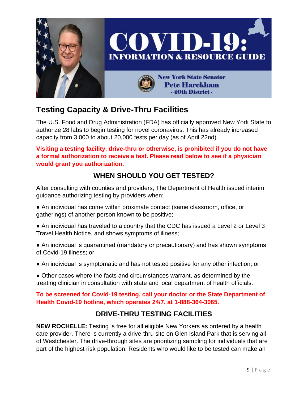

### **Testing Capacity & Drive-Thru Facilities**

The U.S. Food and Drug Administration (FDA) has officially approved New York State to authorize 28 labs to begin testing for novel coronavirus. This has already increased capacity from 3,000 to about 20,000 tests per day (as of April 22nd).

**Visiting a testing facility, drive-thru or otherwise, is prohibited if you do not have a formal authorization to receive a test. Please read below to see if a physician would grant you authorization.**

#### **WHEN SHOULD YOU GET TESTED?**

After consulting with counties and providers, The Department of Health issued interim guidance authorizing testing by providers when:

- An individual has come within proximate contact (same classroom, office, or gatherings) of another person known to be positive;
- An individual has traveled to a country that the CDC has issued a Level 2 or Level 3 Travel Health Notice, and shows symptoms of illness;
- An individual is quarantined (mandatory or precautionary) and has shown symptoms of Covid-19 illness; or
- An individual is symptomatic and has not tested positive for any other infection; or
- Other cases where the facts and circumstances warrant, as determined by the treating clinician in consultation with state and local department of health officials.

#### **To be screened for Covid-19 testing, call your doctor or the State Department of Health Covid-19 hotline, which operates 24/7, at 1-888-364-3065.**

#### **DRIVE-THRU TESTING FACILITIES**

**NEW ROCHELLE:** Testing is free for all eligible New Yorkers as ordered by a health care provider. There is currently a drive-thru site on Glen Island Park that is serving all of Westchester. The drive-through sites are prioritizing sampling for individuals that are part of the highest risk population. Residents who would like to be tested can make an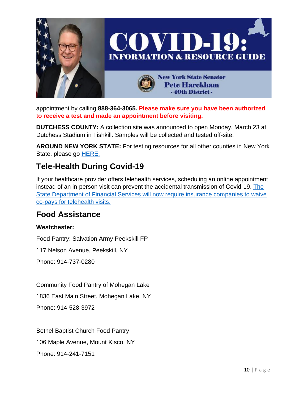

appointment by calling **888-364-3065. Please make sure you have been authorized to receive a test and made an appointment before visiting.**

**DUTCHESS COUNTY:** A collection site was announced to open Monday, March 23 at Dutchess Stadium in Fishkill. Samples will be collected and tested off-site.

**AROUND NEW YORK STATE:** For testing resources for all other counties in New York State, please go **HERE.** 

### **Tele-Health During Covid-19**

If your healthcare provider offers telehealth services, scheduling an online appointment instead of an in-person visit can prevent the accidental transmission of Covid-19. [The](https://www.governor.ny.gov/news/during-coronavirus-briefing-governor-cuomo-announces-department-financial-services-will-require)  [State Department of Financial Services will now require insurance companies to waive](https://www.governor.ny.gov/news/during-coronavirus-briefing-governor-cuomo-announces-department-financial-services-will-require)  [co-pays for telehealth visits.](https://www.governor.ny.gov/news/during-coronavirus-briefing-governor-cuomo-announces-department-financial-services-will-require)

#### **Food Assistance**

#### **Westchester:**

Food Pantry: Salvation Army Peekskill FP

117 Nelson Avenue, Peekskill, NY

Phone: 914-737-0280

Community Food Pantry of Mohegan Lake

1836 East Main Street, Mohegan Lake, NY

Phone: 914-528-3972

Bethel Baptist Church Food Pantry 106 Maple Avenue, Mount Kisco, NY Phone: 914-241-7151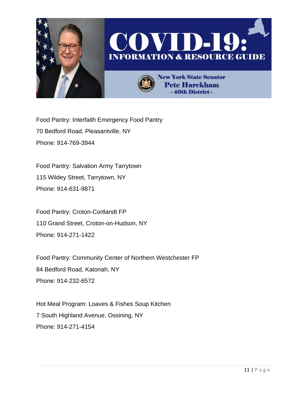

Food Pantry: Interfaith Emergency Food Pantry 70 Bedford Road, Pleasantville, NY Phone: 914-769-3944

Food Pantry: Salvation Army Tarrytown 115 Wildey Street, Tarrytown, NY Phone: 914-631-9871

Food Pantry: Croton-Cortlandt FP 110 Grand Street, Croton-on-Hudson, NY Phone: 914-271-1422

Food Pantry: Community Center of Northern Westchester FP 84 Bedford Road, Katonah, NY Phone: 914-232-6572

Hot Meal Program: Loaves & Fishes Soup Kitchen 7 South Highland Avenue, Ossining, NY Phone: 914-271-4154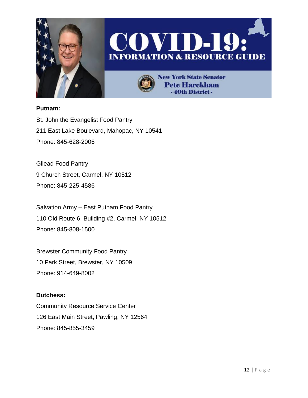





**New York State Senator Pete Harckham** -40th District-

#### **Putnam:**

St. John the Evangelist Food Pantry 211 East Lake Boulevard, Mahopac, NY 10541 Phone: 845-628-2006

Gilead Food Pantry 9 Church Street, Carmel, NY 10512 Phone: 845-225-4586

Salvation Army – East Putnam Food Pantry 110 Old Route 6, Building #2, Carmel, NY 10512 Phone: 845-808-1500

Brewster Community Food Pantry 10 Park Street, Brewster, NY 10509 Phone: 914-649-8002

#### **Dutchess:**

Community Resource Service Center 126 East Main Street, Pawling, NY 12564 Phone: 845-855-3459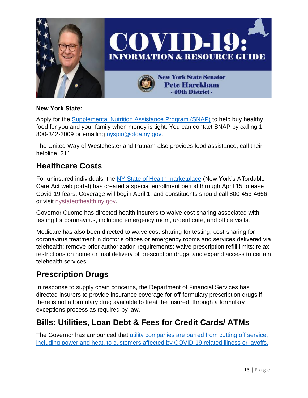

#### **New York State:**

Apply for the [Supplemental Nutrition Assistance Program \(SNAP\)](https://www.ny.gov/services/apply-snap) to help buy healthy food for you and your family when money is tight. You can contact SNAP by calling 1- 800-342-3009 or emailing [nyspio@otda.ny.gov.](mailto:nyspio@otda.ny.gov)

The United Way of Westchester and Putnam also provides food assistance, call their helpline: 211

#### **Healthcare Costs**

For uninsured individuals, the [NY State of Health marketplace](https://nystateofhealth.ny.gov/) (New York's Affordable Care Act web portal) has created a special enrollment period through April 15 to ease Covid-19 fears. Coverage will begin April 1, and constituents should call 800-453-4666 or visit [nystateofhealth.ny.gov.](https://nystateofhealth.ny.gov/)

Governor Cuomo has directed health insurers to waive cost sharing associated with testing for coronavirus, including emergency room, urgent care, and office visits.

Medicare has also been directed to waive cost-sharing for testing, cost-sharing for coronavirus treatment in doctor's offices or emergency rooms and services delivered via telehealth; remove prior authorization requirements; waive prescription refill limits; relax restrictions on home or mail delivery of prescription drugs; and expand access to certain telehealth services.

#### **Prescription Drugs**

In response to supply chain concerns, the Department of Financial Services has directed insurers to provide insurance coverage for off-formulary prescription drugs if there is not a formulary drug available to treat the insured, through a formulary exceptions process as required by law.

#### **Bills: Utilities, Loan Debt & Fees for Credit Cards/ ATMs**

The Governor has announced that utility companies are barred from cutting off service, [including power and heat, to customers affected by COVID-19 related illness or layoffs.](https://www.governor.ny.gov/news/after-weeks-demanding-approval-governor-cuomo-announces-fda-gives-new-york-state-authority)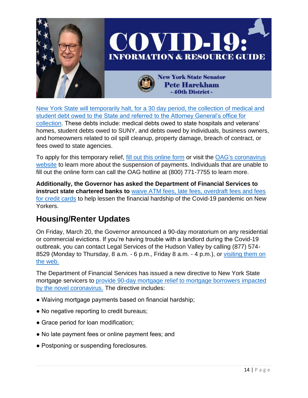

[New York State will temporarily halt, for a 30 day period, the collection](https://www.governor.ny.gov/news/governor-cuomo-and-attorney-general-james-temporarily-suspend-state-debt-collection-response) of medical and [student debt owed to the State and referred to the Attorney General's office for](https://www.governor.ny.gov/news/governor-cuomo-and-attorney-general-james-temporarily-suspend-state-debt-collection-response)  [collection.](https://www.governor.ny.gov/news/governor-cuomo-and-attorney-general-james-temporarily-suspend-state-debt-collection-response) These debts include: medical debts owed to state hospitals and veterans' homes, student debts owed to SUNY, and debts owed by individuals, business owners, and homeowners related to oil spill cleanup, property damage, breach of contract, or fees owed to state agencies.

To apply for this temporary relief, [fill out this online form](https://ag.ny.gov/covid-19-debt-suspension-application) or visit the OAG's coronavirus [website](https://ag.ny.gov/coronavirus) to learn more about the suspension of payments. Individuals that are unable to fill out the online form can call the OAG hotline at (800) 771-7755 to learn more.

**Additionally, the Governor has asked the Department of Financial Services to instruct state chartered banks to** [waive ATM fees, late fees, overdraft fees and fees](https://www.governor.ny.gov/news/governor-cuomo-signs-executive-order-mandating-businesses-require-office-personnel-decrease)  [for credit cards](https://www.governor.ny.gov/news/governor-cuomo-signs-executive-order-mandating-businesses-require-office-personnel-decrease) to help lessen the financial hardship of the Covid-19 pandemic on New Yorkers.

### **Housing/Renter Updates**

On Friday, March 20, the Governor announced a 90-day moratorium on any residential or commercial evictions. If you're having trouble with a landlord during the Covid-19 outbreak, you can contact Legal Services of the Hudson Valley by calling (877) 574- 8529 (Monday to Thursday, 8 a.m. - 6 p.m., Friday 8 a.m. - 4 p.m.), or visiting them on [the web.](https://lshv.org/request-legal-assistance-now/)

The Department of Financial Services has issued a new directive to New York State mortgage servicers to [provide 90-day mortgage relief to mortgage borrowers impacted](https://www.governor.ny.gov/news/governor-cuomo-signs-executive-order-mandating-businesses-require-office-personnel-decrease)  [by the novel coronavirus.](https://www.governor.ny.gov/news/governor-cuomo-signs-executive-order-mandating-businesses-require-office-personnel-decrease) The directive includes:

- Waiving mortgage payments based on financial hardship;
- No negative reporting to credit bureaus;
- Grace period for loan modification;
- No late payment fees or online payment fees; and
- Postponing or suspending foreclosures.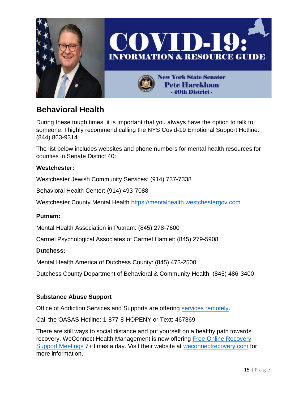

### **Behavioral Health**

During these tough times, it is important that you always have the option to talk to someone. I highly recommend calling the NYS Covid-19 Emotional Support Hotline: (844) 863-9314

The list below includes websites and phone numbers for mental health resources for counties in Senate District 40:

#### **Westchester:**

Westchester Jewish Community Services: (914) 737-7338

Behavioral Health Center: (914) 493-7088

Westchester County Mental Health [https://mentalhealth.westchestergov.com](https://mentalhealth.westchestergov.com/)

#### **Putnam:**

Mental Health Association in Putnam: (845) 278-7600

Carmel Psychological Associates of Carmel Hamlet: (845) 279-5908

#### **Dutchess:**

Mental Health America of Dutchess County: (845) 473-2500

Dutchess County Department of Behavioral & Community Health: (845) 486-3400

#### **Substance Abuse Support**

Office of Addiction Services and Supports are offering [services remotely.](https://oasas.ny.gov/)

Call the OASAS Hotline: 1-877-8-HOPENY or Text: 467369

There are still ways to social distance and put yourself on a healthy path towards recovery. WeConnect Health Management is now offering Free [Online Recovery](https://www.weconnectrecovery.com/free-online-support-meetings)  [Support Meetings](https://www.weconnectrecovery.com/free-online-support-meetings) 7+ times a day. Visit their website at [weconnectrecovery.com](https://www.weconnectrecovery.com/free-online-support-meetings) for more information.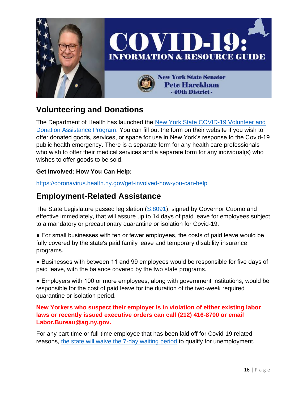

### **Volunteering and Donations**

The Department of Health has launched the [New York State COVID-19 Volunteer and](https://apps.health.ny.gov/pubpal/builder/survey/nys-covid19-tracking-offers)  [Donation Assistance Program.](https://apps.health.ny.gov/pubpal/builder/survey/nys-covid19-tracking-offers) You can fill out the form on their website if you wish to offer donated goods, services, or space for use in New York's response to the Covid-19 public health emergency. There is a separate form for any health care professionals who wish to offer their medical services and a separate form for any individual(s) who wishes to offer goods to be sold.

#### **Get Involved: How You Can Help:**

<https://coronavirus.health.ny.gov/get-involved-how-you-can-help>

#### **Employment-Related Assistance**

The State Legislature passed legislation [\(S.8091\)](https://www.nysenate.gov/legislation/bills/2019/s8091), signed by Governor Cuomo and effective immediately, that will assure up to 14 days of paid leave for employees subject to a mandatory or precautionary quarantine or isolation for Covid-19.

● For small businesses with ten or fewer employees, the costs of paid leave would be fully covered by the state's paid family leave and temporary disability insurance programs.

● Businesses with between 11 and 99 employees would be responsible for five days of paid leave, with the balance covered by the two state programs.

● Employers with 100 or more employees, along with government institutions, would be responsible for the cost of paid leave for the duration of the two-week required quarantine or isolation period.

**New Yorkers who suspect their employer is in violation of either existing labor laws or recently issued executive orders can call (212) 416-8700 or email Labor.Bureau@ag.ny.gov.**

For any part-time or full-time employee that has been laid off for Covid-19 related reasons, [the state will waive the 7-day waiting period](https://www.governor.ny.gov/news/after-weeks-demanding-approval-governor-cuomo-announces-fda-gives-new-york-state-authority) to qualify for unemployment.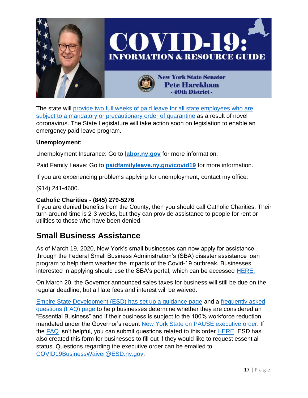

The state will [provide two full weeks of paid leave for all state employees who are](https://www.governor.ny.gov/news/during-novel-coronavirus-briefing-governor-cuomo-announces-new-york-state-will-contract-28)  [subject to a mandatory or precautionary order](https://www.governor.ny.gov/news/during-novel-coronavirus-briefing-governor-cuomo-announces-new-york-state-will-contract-28) of quarantine as a result of novel coronavirus. The State Legislature will take action soon on legislation to enable an emergency paid-leave program.

#### **Unemployment:**

Unemployment Insurance: Go to **[labor.ny.gov](https://dol.ny.gov/)** for more information.

Paid Family Leave: Go to **[paidfamilyleave.ny.gov/covid19](https://paidfamilyleave.ny.gov/covid19)** for more information.

If you are experiencing problems applying for unemployment, contact my office:

(914) 241-4600.

#### **Catholic Charities - (845) 279-5276**

If you are denied benefits from the County, then you should call Catholic Charities. Their turn-around time is 2-3 weeks, but they can provide assistance to people for rent or utilities to those who have been denied.

#### **Small Business Assistance**

As of March 19, 2020, New York's small businesses can now apply for assistance through the Federal Small Business Administration's (SBA) disaster assistance loan program to help them weather the impacts of the Covid-19 outbreak. Businesses interested in applying should use the SBA's portal, which can be accessed [HERE.](https://www.sba.gov/funding-programs/disaster-assistance)

On March 20, the Governor announced sales taxes for business will still be due on the regular deadline, but all late fees and interest will be waived.

[Empire State Development \(ESD\) has set up a guidance page](https://esd.ny.gov/guidance-executive-order-2026) and a [frequently asked](https://esd.ny.gov/sites/default/files/ESD_EssentialEmployerFAQ_032220.pdf)  [questions \(FAQ\) page](https://esd.ny.gov/sites/default/files/ESD_EssentialEmployerFAQ_032220.pdf) to help businesses determine whether they are considered an "Essential Business" and if their business is subject to the 100% workforce reduction, mandated under the Governor's recent [New York State on PAUSE executive order.](https://www.governor.ny.gov/news/governor-cuomo-signs-new-york-state-pause-executive-order) If the [FAQ](https://esd.ny.gov/sites/default/files/ESD_EssentialEmployerFAQ_032220.pdf) isn't helpful, you can submit questions related to this order [HERE.](https://esd.ny.gov/covid-19-help) ESD has also created this form for businesses to fill out if they would like to request essential status. Questions regarding the executive order can be emailed to [COVID19BusinessWaiver@ESD.ny.gov.](mailto:COVID19BusinessWaiver@ESD.ny.gov)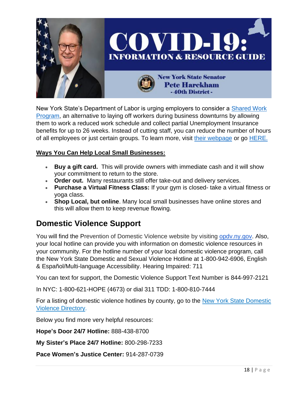

New York State's Department of Labor is urging employers to consider a [Shared Work](https://labor.ny.gov/ui/dande/sharedwork1.shtm)  [Program,](https://labor.ny.gov/ui/dande/sharedwork1.shtm) an alternative to laying off workers during business downturns by allowing them to work a reduced work schedule and collect partial Unemployment Insurance benefits for up to 26 weeks. Instead of cutting staff, you can reduce the number of hours of all employees or just certain groups. To learn more, visit [their webpage](https://labor.ny.gov/ui/dande/sharedwork1.shtm) or go [HERE.](https://drive.google.com/file/d/1GqaxUbuUmoje9bfmDEEUAvRlIcEwSScw/view)

#### **Ways You Can Help Local Small Businesses:**

- **Buy a gift card.** This will provide owners with immediate cash and it will show your commitment to return to the store.
- **Order out.** Many restaurants still offer take-out and delivery services.
- **Purchase a Virtual Fitness Class:** If your gym is closed- take a virtual fitness or yoga class.
- **Shop Local, but online**. Many local small businesses have online stores and this will allow them to keep revenue flowing.

#### **Domestic Violence Support**

You will find the Prevention of Domestic Violence website by visiting [opdv.ny.gov.](http://opdv.ny.gov/) Also, your local hotline can provide you with information on domestic violence resources in your community. For the hotline number of your local domestic violence program, call the New York State Domestic and Sexual Violence Hotline at 1-800-942-6906, English & Español/Multi-language Accessibility. Hearing Impaired: 711

You can text for support, the Domestic Violence Support Text Number is 844-997-2121

In NYC: 1-800-621-HOPE (4673) or dial 311 TDD: 1-800-810-7444

For a listing of domestic violence hotlines by county, go to the New York State Domestic [Violence Directory.](https://www.nyscadv.org/find-help/program-directory.html)

Below you find more very helpful resources:

**Hope's Door 24/7 Hotline:** 888-438-8700

**My Sister's Place 24/7 Hotline:** 800-298-7233

**Pace Women's Justice Center:** 914-287-0739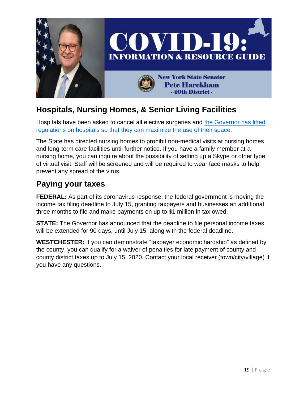

### **Hospitals, Nursing Homes, & Senior Living Facilities**

Hospitals have been asked to cancel all elective surgeries and [the Governor has lifted](https://www.governor.ny.gov/news/during-coronavirus-briefing-governor-cuomo-issues-executive-order-allowing-state-increase)  [regulations on hospitals so that they can maximize the use of their space.](https://www.governor.ny.gov/news/during-coronavirus-briefing-governor-cuomo-issues-executive-order-allowing-state-increase)

The State has directed nursing homes to prohibit non-medical visits at nursing homes and long-term care facilities until further notice. If you have a family member at a nursing home, you can inquire about the possibility of setting up a Skype or other type of virtual visit. Staff will be screened and will be required to wear face masks to help prevent any spread of the virus.

### **Paying your taxes**

**FEDERAL:** As part of its coronavirus response, the federal government is moving the income tax filing deadline to July 15, granting taxpayers and businesses an additional three months to file and make payments on up to \$1 million in tax owed.

**STATE:** The Governor has announced that the deadline to file personal income taxes will be extended for 90 days, until July 15, along with the federal deadline.

**WESTCHESTER:** If you can demonstrate "taxpayer economic hardship" as defined by the county, you can qualify for a waiver of penalties for late payment of county and county district taxes up to July 15, 2020. Contact your local receiver (town/city/village) if you have any questions.